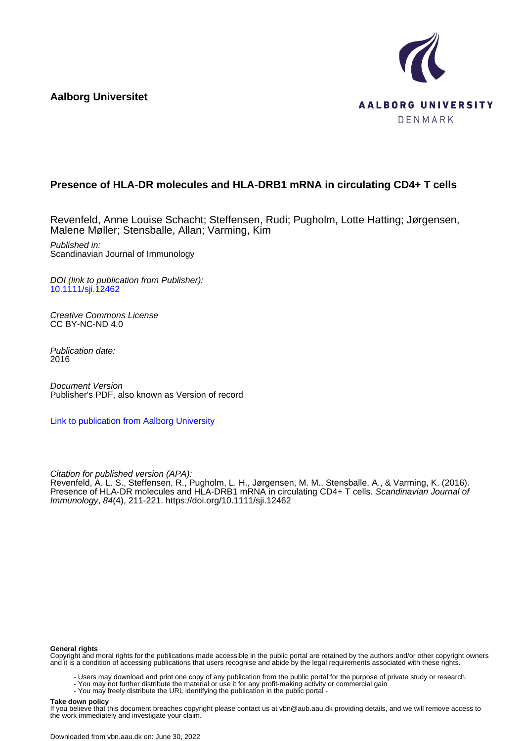**Aalborg Universitet**



## **Presence of HLA-DR molecules and HLA-DRB1 mRNA in circulating CD4+ T cells**

Revenfeld, Anne Louise Schacht; Steffensen, Rudi; Pugholm, Lotte Hatting; Jørgensen, Malene Møller; Stensballe, Allan; Varming, Kim

Published in: Scandinavian Journal of Immunology

DOI (link to publication from Publisher): [10.1111/sji.12462](https://doi.org/10.1111/sji.12462)

Creative Commons License CC BY-NC-ND 4.0

Publication date: 2016

Document Version Publisher's PDF, also known as Version of record

[Link to publication from Aalborg University](https://vbn.aau.dk/en/publications/59b1064a-4396-48d4-aac2-3d0a7d3ad3c3)

Citation for published version (APA):

Revenfeld, A. L. S., Steffensen, R., Pugholm, L. H., Jørgensen, M. M., Stensballe, A., & Varming, K. (2016). Presence of HLA-DR molecules and HLA-DRB1 mRNA in circulating CD4+ T cells. Scandinavian Journal of Immunology, 84(4), 211-221.<https://doi.org/10.1111/sji.12462>

#### **General rights**

Copyright and moral rights for the publications made accessible in the public portal are retained by the authors and/or other copyright owners and it is a condition of accessing publications that users recognise and abide by the legal requirements associated with these rights.

- Users may download and print one copy of any publication from the public portal for the purpose of private study or research.
- You may not further distribute the material or use it for any profit-making activity or commercial gain
	- You may freely distribute the URL identifying the publication in the public portal -

#### **Take down policy**

If you believe that this document breaches copyright please contact us at vbn@aub.aau.dk providing details, and we will remove access to the work immediately and investigate your claim.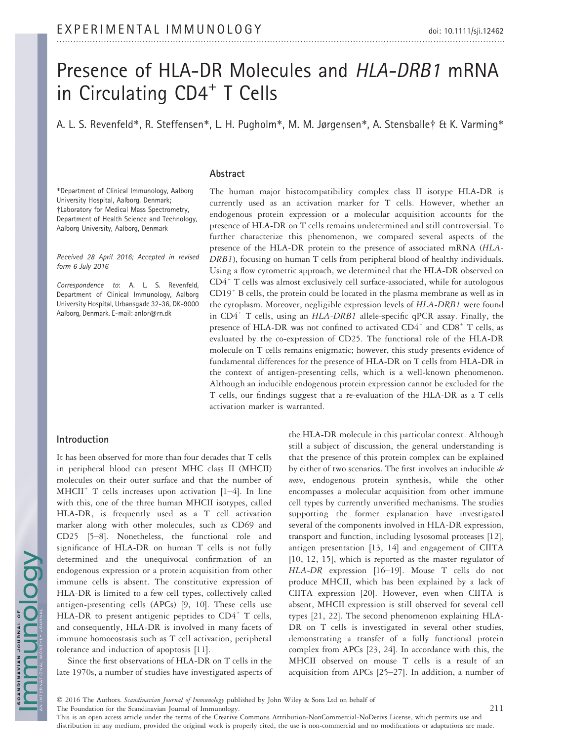# Presence of HLA-DR Molecules and HLA-DRB1 mRNA in Circulating CD4<sup>+</sup> T Cells

A. L. S. Revenfeld\*, R. Steffensen\*, L. H. Pugholm\*, M. M. Jørgensen\*, A. Stensballe† & K. Varming\*

### Abstract

\*Department of Clinical Immunology, Aalborg University Hospital, Aalborg, Denmark; †Laboratory for Medical Mass Spectrometry, Department of Health Science and Technology, Aalborg University, Aalborg, Denmark

Received 28 April 2016; Accepted in revised form 6 July 2016

Correspondence to: A. L. S. Revenfeld, Department of Clinical Immunology, Aalborg University Hospital, Urbansgade 32-36, DK-9000 Aalborg, Denmark. E-mail: anlor@rn.dk

#### Introduction

It has been observed for more than four decades that T cells in peripheral blood can present MHC class II (MHCII) molecules on their outer surface and that the number of MHCII<sup>+</sup> T cells increases upon activation  $[1-4]$ . In line with this, one of the three human MHCII isotypes, called HLA-DR, is frequently used as a T cell activation marker along with other molecules, such as CD69 and CD25 [5–8]. Nonetheless, the functional role and significance of HLA-DR on human T cells is not fully determined and the unequivocal confirmation of an endogenous expression or a protein acquisition from other immune cells is absent. The constitutive expression of HLA-DR is limited to a few cell types, collectively called antigen-presenting cells (APCs) [9, 10]. These cells use HLA-DR to present antigenic peptides to  $CD4^+$  T cells, and consequently, HLA-DR is involved in many facets of immune homoeostasis such as T cell activation, peripheral tolerance and induction of apoptosis [11].

Since the first observations of HLA-DR on T cells in the late 1970s, a number of studies have investigated aspects of

The human major histocompatibility complex class II isotype HLA-DR is currently used as an activation marker for T cells. However, whether an endogenous protein expression or a molecular acquisition accounts for the presence of HLA-DR on T cells remains undetermined and still controversial. To further characterize this phenomenon, we compared several aspects of the presence of the HLA-DR protein to the presence of associated mRNA (HLA-DRB1), focusing on human T cells from peripheral blood of healthy individuals. Using a flow cytometric approach, we determined that the HLA-DR observed on  $CD4^+$  T cells was almost exclusively cell surface-associated, while for autologous CD19<sup>+</sup> B cells, the protein could be located in the plasma membrane as well as in the cytoplasm. Moreover, negligible expression levels of HLA-DRB1 were found in  $CD4^+$  T cells, using an HLA-DRB1 allele-specific qPCR assay. Finally, the presence of HLA-DR was not confined to activated  $CD4^+$  and  $CD8^+$  T cells, as evaluated by the co-expression of CD25. The functional role of the HLA-DR molecule on T cells remains enigmatic; however, this study presents evidence of fundamental differences for the presence of HLA-DR on T cells from HLA-DR in the context of antigen-presenting cells, which is a well-known phenomenon. Although an inducible endogenous protein expression cannot be excluded for the T cells, our findings suggest that a re-evaluation of the HLA-DR as a T cells activation marker is warranted.

> the HLA-DR molecule in this particular context. Although still a subject of discussion, the general understanding is that the presence of this protein complex can be explained by either of two scenarios. The first involves an inducible de novo, endogenous protein synthesis, while the other encompasses a molecular acquisition from other immune cell types by currently unverified mechanisms. The studies supporting the former explanation have investigated several of the components involved in HLA-DR expression, transport and function, including lysosomal proteases [12], antigen presentation [13, 14] and engagement of CIITA [10, 12, 15], which is reported as the master regulator of HLA-DR expression [16–19]. Mouse T cells do not produce MHCII, which has been explained by a lack of CIITA expression [20]. However, even when CIITA is absent, MHCII expression is still observed for several cell types [21, 22]. The second phenomenon explaining HLA-DR on T cells is investigated in several other studies, demonstrating a transfer of a fully functional protein complex from APCs [23, 24]. In accordance with this, the MHCII observed on mouse T cells is a result of an acquisition from APCs [25–27]. In addition, a number of

This is an open access article under the terms of the [Creative Commons Attribution-NonCommercial-NoDerivs](http://creativecommons.org/licenses/by-nc-nd/4.0/) License, which permits use and distribution in any medium, provided the original work is properly cited, the use is non-commercial and no modifications or adaptations are made.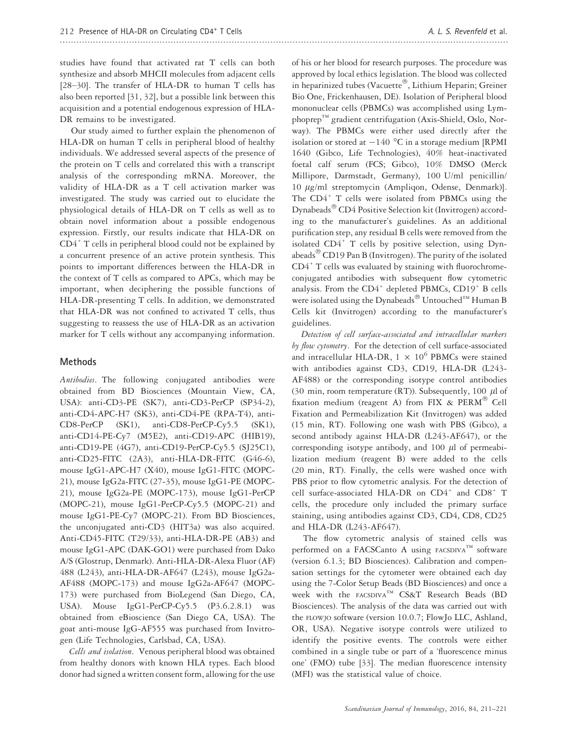studies have found that activated rat T cells can both synthesize and absorb MHCII molecules from adjacent cells [28–30]. The transfer of HLA-DR to human T cells has also been reported [31, 32], but a possible link between this acquisition and a potential endogenous expression of HLA-DR remains to be investigated.

Our study aimed to further explain the phenomenon of HLA-DR on human T cells in peripheral blood of healthy individuals. We addressed several aspects of the presence of the protein on T cells and correlated this with a transcript analysis of the corresponding mRNA. Moreover, the validity of HLA-DR as a T cell activation marker was investigated. The study was carried out to elucidate the physiological details of HLA-DR on T cells as well as to obtain novel information about a possible endogenous expression. Firstly, our results indicate that HLA-DR on  $CD4^+$  T cells in peripheral blood could not be explained by a concurrent presence of an active protein synthesis. This points to important differences between the HLA-DR in the context of T cells as compared to APCs, which may be important, when deciphering the possible functions of HLA-DR-presenting T cells. In addition, we demonstrated that HLA-DR was not confined to activated T cells, thus suggesting to reassess the use of HLA-DR as an activation marker for T cells without any accompanying information.

#### Methods

Antibodies. The following conjugated antibodies were obtained from BD Biosciences (Mountain View, CA, USA): anti-CD3-PE (SK7), anti-CD3-PerCP (SP34-2), anti-CD4-APC-H7 (SK3), anti-CD4-PE (RPA-T4), anti-CD8-PerCP (SK1), anti-CD8-PerCP-Cy5.5 (SK1), anti-CD14-PE-Cy7 (M5E2), anti-CD19-APC (HIB19), anti-CD19-PE (4G7), anti-CD19-PerCP-Cy5.5 (SJ25C1), anti-CD25-FITC (2A3), anti-HLA-DR-FITC (G46-6), mouse IgG1-APC-H7 (X40), mouse IgG1-FITC (MOPC-21), mouse IgG2a-FITC (27-35), mouse IgG1-PE (MOPC-21), mouse IgG2a-PE (MOPC-173), mouse IgG1-PerCP (MOPC-21), mouse IgG1-PerCP-Cy5.5 (MOPC-21) and mouse IgG1-PE-Cy7 (MOPC-21). From BD Biosciences, the unconjugated anti-CD3 (HIT3a) was also acquired. Anti-CD45-FITC (T29/33), anti-HLA-DR-PE (AB3) and mouse IgG1-APC (DAK-GO1) were purchased from Dako A/S (Glostrup, Denmark). Anti-HLA-DR-Alexa Fluor (AF) 488 (L243), anti-HLA-DR-AF647 (L243), mouse IgG2a-AF488 (MOPC-173) and mouse IgG2a-AF647 (MOPC-173) were purchased from BioLegend (San Diego, CA, USA). Mouse IgG1-PerCP-Cy5.5 (P3.6.2.8.1) was obtained from eBioscience (San Diego CA, USA). The goat anti-mouse IgG-AF555 was purchased from Invitrogen (Life Technologies, Carlsbad, CA, USA).

Cells and isolation. Venous peripheral blood was obtained from healthy donors with known HLA types. Each blood donor had signed a written consent form, allowing for the use of his or her blood for research purposes. The procedure was approved by local ethics legislation. The blood was collected in heparinized tubes (Vacuette®, Lithium Heparin; Greiner Bio One, Frickenhausen, DE). Isolation of Peripheral blood mononuclear cells (PBMCs) was accomplished using Lymphoprep<sup>TM</sup> gradient centrifugation (Axis-Shield, Oslo, Norway). The PBMCs were either used directly after the isolation or stored at  $-140$  °C in a storage medium [RPMI 1640 (Gibco, Life Technologies), 40% heat-inactivated foetal calf serum (FCS; Gibco), 10% DMSO (Merck Millipore, Darmstadt, Germany), 100 U/ml penicillin/ 10 µg/ml streptomycin (Ampliqon, Odense, Denmark)]. The CD4<sup>+</sup> T cells were isolated from PBMCs using the Dynabeads<sup>®</sup> CD4 Positive Selection kit (Invitrogen) according to the manufacturer's guidelines. As an additional purification step, any residual B cells were removed from the isolated  $CD4^+$  T cells by positive selection, using Dynabeads $^{\circledR}$  CD19 Pan B (Invitrogen). The purity of the isolated CD4<sup>+</sup> T cells was evaluated by staining with fluorochromeconjugated antibodies with subsequent flow cytometric analysis. From the  $CD4^+$  depleted PBMCs,  $CD19^+$  B cells were isolated using the Dynabeads<sup>®</sup> Untouched<sup>™</sup> Human B Cells kit (Invitrogen) according to the manufacturer's guidelines.

Detection of cell surface-associated and intracellular markers by flow cytometry. For the detection of cell surface-associated and intracellular HLA-DR,  $1 \times 10^6$  PBMCs were stained with antibodies against CD3, CD19, HLA-DR (L243- AF488) or the corresponding isotype control antibodies (30 min, room temperature (RT)). Subsequently, 100  $\mu$ l of fixation medium (reagent A) from FIX &  $PERM^@$  Cell Fixation and Permeabilization Kit (Invitrogen) was added (15 min, RT). Following one wash with PBS (Gibco), a second antibody against HLA-DR (L243-AF647), or the corresponding isotype antibody, and 100  $\mu$ l of permeabilization medium (reagent B) were added to the cells (20 min, RT). Finally, the cells were washed once with PBS prior to flow cytometric analysis. For the detection of cell surface-associated HLA-DR on CD4<sup>+</sup> and CD8<sup>+</sup> T cells, the procedure only included the primary surface staining, using antibodies against CD3, CD4, CD8, CD25 and HLA-DR (L243-AF647).

The flow cytometric analysis of stained cells was performed on a FACSCanto A using FACSDIVA<sup>TM</sup> software (version 6.1.3; BD Biosciences). Calibration and compensation settings for the cytometer were obtained each day using the 7-Color Setup Beads (BD Biosciences) and once a week with the FACSDIVATM CS&T Research Beads (BD Biosciences). The analysis of the data was carried out with the FLOWJO software (version 10.0.7; FlowJo LLC, Ashland, OR, USA). Negative isotype controls were utilized to identify the positive events. The controls were either combined in a single tube or part of a 'fluorescence minus one' (FMO) tube [33]. The median fluorescence intensity (MFI) was the statistical value of choice.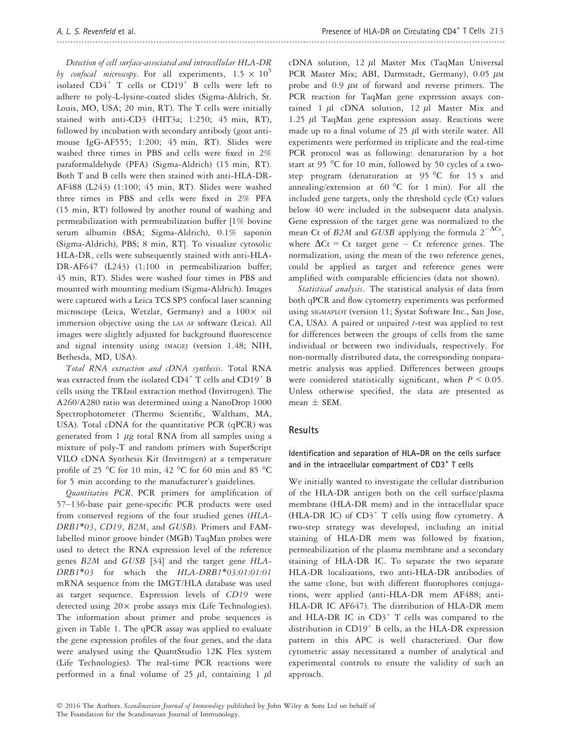Detection of cell surface-associated and intracellular HLA-DR by confocal microscopy. For all experiments,  $1.5 \times 10^{5}$ isolated  $CD4^+$  T cells or  $CD19^+$  B cells were left to adhere to poly-L-lysine-coated slides (Sigma-Aldrich, St. Louis, MO, USA; 20 min, RT). The T cells were initially stained with anti-CD3 (HIT3a; 1:250; 45 min, RT), followed by incubation with secondary antibody (goat antimouse IgG-AF555; 1:200; 45 min, RT). Slides were washed three times in PBS and cells were fixed in 2% paraformaldehyde (PFA) (Sigma-Aldrich) (15 min, RT). Both T and B cells were then stained with anti-HLA-DR-AF488 (L243) (1:100; 45 min, RT). Slides were washed three times in PBS and cells were fixed in 2% PFA (15 min, RT) followed by another round of washing and permeabilization with permeabilization buffer [1% bovine serum albumin (BSA; Sigma-Aldrich), 0.1% saponin (Sigma-Aldrich), PBS; 8 min, RT]. To visualize cytosolic HLA-DR, cells were subsequently stained with anti-HLA-DR-AF647 (L243) (1:100 in permeabilization buffer; 45 min, RT). Slides were washed four times in PBS and mounted with mounting medium (Sigma-Aldrich). Images were captured with a Leica TCS SP5 confocal laser scanning microscope (Leica, Wetzlar, Germany) and a  $100 \times$  oil immersion objective using the LAS AF software (Leica). All images were slightly adjusted for background fluorescence and signal intensity using IMAGEJ (version 1.48; NIH, Bethesda, MD, USA).

Total RNA extraction and cDNA synthesis. Total RNA was extracted from the isolated CD4<sup>+</sup> T cells and CD19<sup>+</sup> B cells using the TRIzol extraction method (Invitrogen). The A260/A280 ratio was determined using a NanoDrop 1000 Spectrophotometer (Thermo Scientific, Waltham, MA, USA). Total cDNA for the quantitative PCR (qPCR) was generated from  $1 \mu$ g total RNA from all samples using a mixture of poly-T and random primers with SuperScript VILO cDNA Synthesis Kit (Invitrogen) at a temperature profile of 25 °C for 10 min, 42 °C for 60 min and 85 °C for 5 min according to the manufacturer's guidelines.

Quantitative PCR. PCR primers for amplification of 57–136-base pair gene-specific PCR products were used from conserved regions of the four studied genes (HLA-DRB1\*03, CD19, B2M, and GUSB). Primers and FAMlabelled minor groove binder (MGB) TaqMan probes were used to detect the RNA expression level of the reference genes B2M and GUSB [34] and the target gene HLA-DRB1\*03 for which the HLA-DRB1\*03:01:01:01 mRNA sequence from the IMGT/HLA database was used as target sequence. Expression levels of CD19 were detected using  $20 \times$  probe assays mix (Life Technologies). The information about primer and probe sequences is given in Table 1. The qPCR assay was applied to evaluate the gene expression profiles of the four genes, and the data were analysed using the QuantStudio 12K Flex system (Life Technologies). The real-time PCR reactions were performed in a final volume of 25  $\mu$ l, containing 1  $\mu$ l cDNA solution,  $12 \mu l$  Master Mix (TaqMan Universal PCR Master Mix; ABI, Darmstadt, Germany),  $0.05 \mu M$ probe and  $0.9 \mu$ M of forward and reverse primers. The PCR reaction for TaqMan gene expression assays contained 1  $\mu$ l cDNA solution, 12  $\mu$ l Master Mix and 1.25  $\mu$ l TaqMan gene expression assay. Reactions were made up to a final volume of 25  $\mu$ l with sterile water. All experiments were performed in triplicate and the real-time PCR protocol was as following: denaturation by a hot start at 95 °C for 10 min, followed by 50 cycles of a twostep program (denaturation at 95 °C for 15 s and annealing/extension at  $60^{\circ}$ C for 1 min). For all the included gene targets, only the threshold cycle (Ct) values below 40 were included in the subsequent data analysis. Gene expression of the target gene was normalized to the mean Ct of B2M and GUSB applying the formula  $2^{-\Delta Ct}$ , where  $\Delta$ Ct = Ct target gene – Ct reference genes. The normalization, using the mean of the two reference genes, could be applied as target and reference genes were amplified with comparable efficiencies (data not shown).

Statistical analysis. The statistical analysis of data from both qPCR and flow cytometry experiments was performed using SIGMAPLOT (version 11; Systat Software Inc., San Jose,  $CA$ , USA). A paired or unpaired  $t$ -test was applied to test for differences between the groups of cells from the same individual or between two individuals, respectively. For non-normally distributed data, the corresponding nonparametric analysis was applied. Differences between groups were considered statistically significant, when  $P \le 0.05$ . Unless otherwise specified, the data are presented as mean  $\pm$  SEM.

## Results

### Identification and separation of HLA-DR on the cells surface and in the intracellular compartment of CD3<sup>+</sup> T cells

We initially wanted to investigate the cellular distribution of the HLA-DR antigen both on the cell surface/plasma membrane (HLA-DR mem) and in the intracellular space (HLA-DR IC) of  $CD3^+$  T cells using flow cytometry. A two-step strategy was developed, including an initial staining of HLA-DR mem was followed by fixation, permeabilization of the plasma membrane and a secondary staining of HLA-DR IC. To separate the two separate HLA-DR localizations, two anti-HLA-DR antibodies of the same clone, but with different fluorophores conjugations, were applied (anti-HLA-DR mem AF488; anti-HLA-DR IC AF647). The distribution of HLA-DR mem and HLA-DR IC in  $CD3^+$  T cells was compared to the distribution in CD19<sup>+</sup> B cells, as the HLA-DR expression pattern in this APC is well characterized. Our flow cytometric assay necessitated a number of analytical and experimental controls to ensure the validity of such an approach.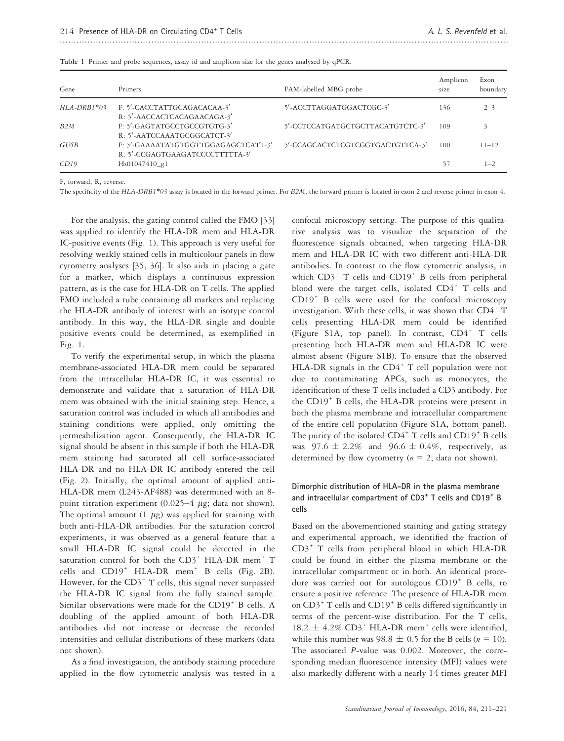| Gene          | Primers                                                                | FAM-labelled MBG probe           | Amplicon<br>size | Exon<br>boundary |
|---------------|------------------------------------------------------------------------|----------------------------------|------------------|------------------|
| $HLA-DRB1*03$ | F: 5'-CACCTATTGCAGACACAA-3'<br>R: 5'-AACCACTCACAGAACAGA-3'             | 5'-ACCTTAGGATGGACTCGC-3'         | 136              | $2 - 3$          |
| B2M           | F: 5'-GAGTATGCCTGCCGTGTG-3'<br>R: 5'-AATCCAAATGCGGCATCT-3'             | 5'-CCTCCATGATGCTGCTTACATGTCTC-3' | 109              |                  |
| GUSB          | F: 5'-GAAAATATGTGGTTGGAGAGCTCATT-3'<br>R: 5'-CCGAGTGAAGATCCCCTTTTTA-3' | 5'-CCAGCACTCTCGTCGGTGACTGTTCA-3' | 100              | $11 - 12$        |
| CD19          | Hs01047410_g1                                                          |                                  | 57               | $1 - 2$          |

|  |  | Table 1 Primer and probe sequences, assay id and amplicon size for the genes analysed by qPCR. |  |  |  |  |  |  |
|--|--|------------------------------------------------------------------------------------------------|--|--|--|--|--|--|
|  |  |                                                                                                |  |  |  |  |  |  |

F, forward; R, reverse.

The specificity of the HLA-DRB1\*03 assay is located in the forward primer. For B2M, the forward primer is located in exon 2 and reverse primer in exon 4.

For the analysis, the gating control called the FMO [33] was applied to identify the HLA-DR mem and HLA-DR IC-positive events (Fig. 1). This approach is very useful for resolving weakly stained cells in multicolour panels in flow cytometry analyses [35, 36]. It also aids in placing a gate for a marker, which displays a continuous expression pattern, as is the case for HLA-DR on T cells. The applied FMO included a tube containing all markers and replacing the HLA-DR antibody of interest with an isotype control antibody. In this way, the HLA-DR single and double positive events could be determined, as exemplified in Fig. 1.

To verify the experimental setup, in which the plasma membrane-associated HLA-DR mem could be separated from the intracellular HLA-DR IC, it was essential to demonstrate and validate that a saturation of HLA-DR mem was obtained with the initial staining step. Hence, a saturation control was included in which all antibodies and staining conditions were applied, only omitting the permeabilization agent. Consequently, the HLA-DR IC signal should be absent in this sample if both the HLA-DR mem staining had saturated all cell surface-associated HLA-DR and no HLA-DR IC antibody entered the cell (Fig. 2). Initially, the optimal amount of applied anti-HLA-DR mem (L243-AF488) was determined with an 8 point titration experiment  $(0.025-4 \mu g)$ ; data not shown). The optimal amount  $(1 \mu g)$  was applied for staining with both anti-HLA-DR antibodies. For the saturation control experiments, it was observed as a general feature that a small HLA-DR IC signal could be detected in the saturation control for both the  $CD3^+$  HLA-DR mem<sup>+</sup> T cells and CD19<sup>+</sup> HLA-DR mem<sup>+</sup> B cells (Fig. 2B). However, for the  $CD3^+$  T cells, this signal never surpassed the HLA-DR IC signal from the fully stained sample. Similar observations were made for the CD19<sup>+</sup> B cells. A doubling of the applied amount of both HLA-DR antibodies did not increase or decrease the recorded intensities and cellular distributions of these markers (data not shown).

As a final investigation, the antibody staining procedure applied in the flow cytometric analysis was tested in a confocal microscopy setting. The purpose of this qualitative analysis was to visualize the separation of the fluorescence signals obtained, when targeting HLA-DR mem and HLA-DR IC with two different anti-HLA-DR antibodies. In contrast to the flow cytometric analysis, in which  $CD3^+$  T cells and  $CD19^+$  B cells from peripheral blood were the target cells, isolated  $CD4^+$  T cells and CD19<sup>+</sup> B cells were used for the confocal microscopy investigation. With these cells, it was shown that  $CD4^+$  T cells presenting HLA-DR mem could be identified (Figure S1A, top panel). In contrast,  $CD4^+$  T cells presenting both HLA-DR mem and HLA-DR IC were almost absent (Figure S1B). To ensure that the observed HLA-DR signals in the  $CD4^+$  T cell population were not due to contaminating APCs, such as monocytes, the identification of these T cells included a CD3 antibody. For the CD19<sup>+</sup> B cells, the HLA-DR proteins were present in both the plasma membrane and intracellular compartment of the entire cell population (Figure S1A, bottom panel). The purity of the isolated  $CD4^+$  T cells and  $CD19^+$  B cells was  $97.6 \pm 2.2\%$  and  $96.6 \pm 0.4\%$ , respectively, as determined by flow cytometry ( $n = 2$ ; data not shown).

### Dimorphic distribution of HLA-DR in the plasma membrane and intracellular compartment of CD3<sup>+</sup> T cells and CD19<sup>+</sup> B cells

Based on the abovementioned staining and gating strategy and experimental approach, we identified the fraction of  $CD3^+$  T cells from peripheral blood in which HLA-DR could be found in either the plasma membrane or the intracellular compartment or in both. An identical procedure was carried out for autologous CD19<sup>+</sup> B cells, to ensure a positive reference. The presence of HLA-DR mem on  $CD3^+$  T cells and  $CD19^+$  B cells differed significantly in terms of the percent-wise distribution. For the T cells,  $18.2 \pm 4.2\%$  CD3<sup>+</sup> HLA-DR mem<sup>+</sup> cells were identified, while this number was  $98.8 \pm 0.5$  for the B cells ( $n = 10$ ). The associated P-value was 0.002. Moreover, the corresponding median fluorescence intensity (MFI) values were also markedly different with a nearly 14 times greater MFI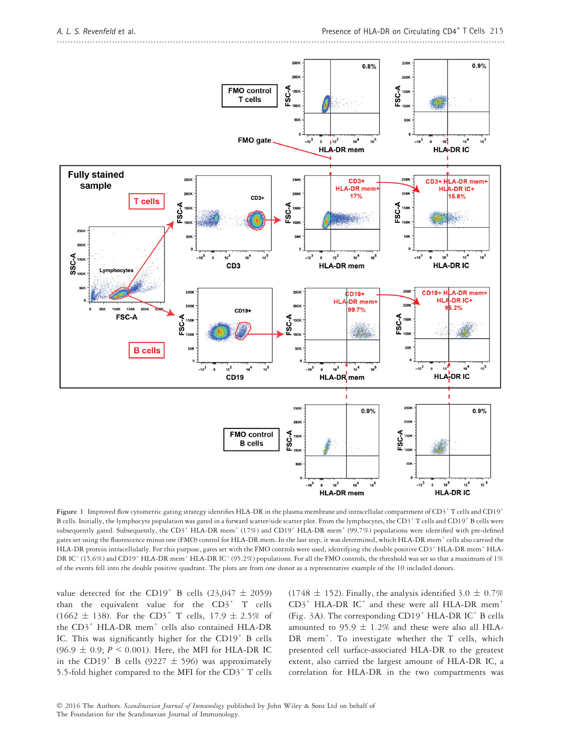

Figure 1 Improved flow cytometric gating strategy identifies HLA-DR in the plasma membrane and intracellular compartment of CD3<sup>+</sup> T cells and CD19<sup>+</sup> B cells. Initially, the lymphocyte population was gated in a forward scatter/side scatter plot. From the lymphocytes, the CD3<sup>+</sup> T cells and CD19<sup>+</sup> B cells were subsequently gated. Subsequently, the CD3<sup>+</sup> HLA-DR mem<sup>+</sup> (17%) and CD19<sup>+</sup> HLA-DR mem<sup>+</sup> (99.7%) populations were identified with pre-defined gates set using the fluorescence minus one (FMO) control for HLA-DR mem. In the last step, it was determined, which HLA-DR mem+ cells also carried the HLA-DR protein intracellularly. For this purpose, gates set with the FMO controls were used, identifying the double positive CD3+ HLA-DR mem+ HLA-DR IC<sup>+</sup> (15.6%) and CD19<sup>+</sup> HLA-DR mem<sup>+</sup> HLA-DR IC<sup>+</sup> (95.2%) populations. For all the FMO controls, the threshold was set so that a maximum of 1% of the events fell into the double positive quadrant. The plots are from one donor as a representative example of the 10 included donors.

value detected for the CD19<sup>+</sup> B cells (23,047  $\pm$  2059) than the equivalent value for the  $CD3^+$  T cells (1662  $\pm$  138). For the CD3<sup>+</sup> T cells, 17.9  $\pm$  2.5% of the CD3<sup>+</sup> HLA-DR mem<sup>+</sup> cells also contained HLA-DR IC. This was significantly higher for the CD19<sup>+</sup> B cells  $(96.9 \pm 0.9; P \le 0.001)$ . Here, the MFI for HLA-DR IC in the CD19<sup>+</sup> B cells (9227  $\pm$  596) was approximately 5.5-fold higher compared to the MFI for the  $CD3^+$  T cells (1748  $\pm$  152). Finally, the analysis identified 3.0  $\pm$  0.7%  $CD3^+$  HLA-DR IC<sup>+</sup> and these were all HLA-DR mem<sup>+</sup> (Fig. 3A). The corresponding  $CD19<sup>+</sup> HLA-DR IC<sup>+</sup> B cells$ amounted to 95.9  $\pm$  1.2% and these were also all HLA-DR mem<sup>+</sup>. To investigate whether the T cells, which presented cell surface-associated HLA-DR to the greatest extent, also carried the largest amount of HLA-DR IC, a correlation for HLA-DR in the two compartments was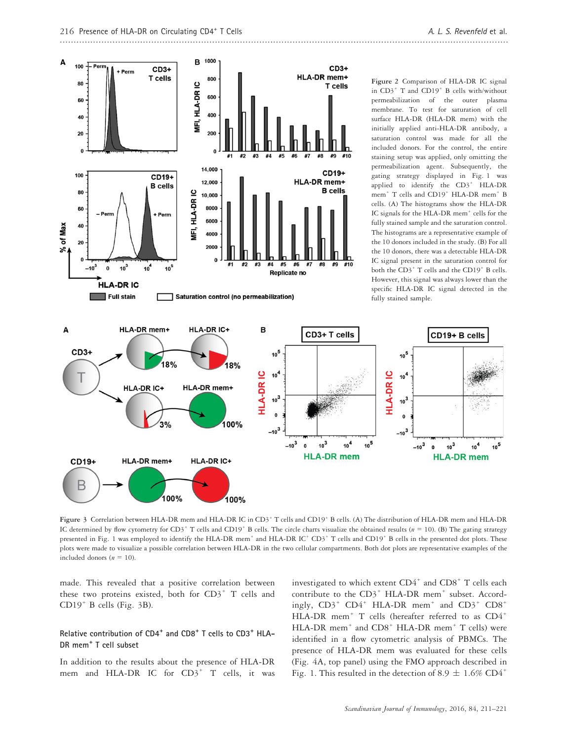$10<sup>4</sup>$ 

 $10^5$ 



Figure 3 Correlation between HLA-DR mem and HLA-DR IC in CD3<sup>+</sup> T cells and CD19<sup>+</sup> B cells. (A) The distribution of HLA-DR mem and HLA-DR IC determined by flow cytometry for CD3<sup>+</sup> T cells and CD19<sup>+</sup> B cells. The circle charts visualize the obtained results ( $n = 10$ ). (B) The gating strategy presented in Fig. 1 was employed to identify the HLA-DR mem<sup>+</sup> and HLA-DR IC<sup>+</sup> CD3<sup>+</sup> T cells and CD19<sup>+</sup> B cells in the presented dot plots. These plots were made to visualize a possible correlation between HLA-DR in the two cellular compartments. Both dot plots are representative examples of the included donors  $(n = 10)$ .

made. This revealed that a positive correlation between these two proteins existed, both for  $CD3^+$  T cells and  $CD19<sup>+</sup>$  B cells (Fig. 3B).

## Relative contribution of CD4<sup>+</sup> and CD8<sup>+</sup> T cells to CD3<sup>+</sup> HLA-DR mem<sup>+</sup> T cell subset

In addition to the results about the presence of HLA-DR mem and HLA-DR IC for CD3<sup>+</sup> T cells, it was investigated to which extent  $CD4^+$  and  $CD8^+$  T cells each contribute to the CD3<sup>+</sup> HLA-DR mem<sup>+</sup> subset. Accordingly,  $CD3^+$   $CD4^+$  HLA-DR mem<sup>+</sup> and  $CD3^+$   $CD8^+$ HLA-DR mem<sup>+</sup> T cells (hereafter referred to as CD4<sup>+</sup> HLA-DR mem<sup>+</sup> and CD8<sup>+</sup> HLA-DR mem<sup>+</sup> T cells) were identified in a flow cytometric analysis of PBMCs. The presence of HLA-DR mem was evaluated for these cells (Fig. 4A, top panel) using the FMO approach described in Fig. 1. This resulted in the detection of 8.9  $\pm$  1.6% CD4<sup>+</sup>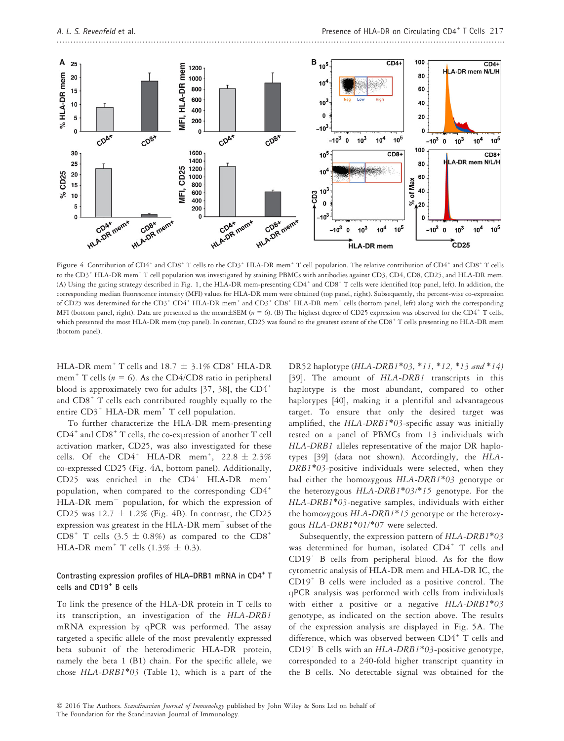

Figure 4 Contribution of CD4<sup>+</sup> and CD8<sup>+</sup> T cells to the CD3<sup>+</sup> HLA-DR mem<sup>+</sup> T cell population. The relative contribution of CD4<sup>+</sup> and CD8<sup>+</sup> T cells to the CD3<sup>+</sup> HLA-DR mem<sup>+</sup> T cell population was investigated by staining PBMCs with antibodies against CD3, CD4, CD8, CD25, and HLA-DR mem. (A) Using the gating strategy described in Fig. 1, the HLA-DR mem-presenting CD4+ and CD8+ T cells were identified (top panel, left). In addition, the corresponding median fluorescence intensity (MFI) values for HLA-DR mem were obtained (top panel, right). Subsequently, the percent-wise co-expression of CD25 was determined for the CD3<sup>+</sup> CD4<sup>+</sup> HLA-DR mem<sup>+</sup> and CD3<sup>+</sup> CD8<sup>+</sup> HLA-DR mem<sup>+</sup> cells (bottom panel, left) along with the corresponding MFI (bottom panel, right). Data are presented as the mean $\pm$ SEM ( $n = 6$ ). (B) The highest degree of CD25 expression was observed for the CD4<sup>+</sup> T cells, which presented the most HLA-DR mem (top panel). In contrast, CD25 was found to the greatest extent of the CD8<sup>+</sup> T cells presenting no HLA-DR mem (bottom panel).

HLA-DR mem<sup>+</sup> T cells and 18.7  $\pm$  3.1% CD8<sup>+</sup> HLA-DR mem<sup>+</sup> T cells ( $n = 6$ ). As the CD4/CD8 ratio in peripheral blood is approximately two for adults [37, 38], the  $CD4^+$ and CD8<sup>+</sup> T cells each contributed roughly equally to the entire CD3<sup>+</sup> HLA-DR mem<sup>+</sup> T cell population.

To further characterize the HLA-DR mem-presenting  $CD4^+$  and  $CD8^+$  T cells, the co-expression of another T cell activation marker, CD25, was also investigated for these cells. Of the  $CD4^+$  HLA-DR mem<sup>+</sup>,  $22.8 \pm 2.3\%$ co-expressed CD25 (Fig. 4A, bottom panel). Additionally, CD25 was enriched in the CD4<sup>+</sup> HLA-DR mem<sup>+</sup> population, when compared to the corresponding CD4<sup>+</sup> HLA-DR mem<sup>-</sup> population, for which the expression of CD25 was  $12.7 \pm 1.2\%$  (Fig. 4B). In contrast, the CD25 expression was greatest in the HLA-DR mem– subset of the  $CDS^+$  T cells (3.5  $\pm$  0.8%) as compared to the  $CDS^+$ HLA-DR mem<sup>+</sup> T cells  $(1.3\% \pm 0.3)$ .

#### Contrasting expression profiles of HLA-DRB1 mRNA in CD4<sup>+</sup> T cells and CD19<sup>+</sup> B cells

To link the presence of the HLA-DR protein in T cells to its transcription, an investigation of the HLA-DRB1 mRNA expression by qPCR was performed. The assay targeted a specific allele of the most prevalently expressed beta subunit of the heterodimeric HLA-DR protein, namely the beta 1 (B1) chain. For the specific allele, we chose HLA-DRB1\*03 (Table 1), which is a part of the DR52 haplotype (HLA-DRB1\*03, \*11, \*12, \*13 and \*14) [39]. The amount of HLA-DRB1 transcripts in this haplotype is the most abundant, compared to other haplotypes [40], making it a plentiful and advantageous target. To ensure that only the desired target was amplified, the HLA-DRB1\*03-specific assay was initially tested on a panel of PBMCs from 13 individuals with HLA-DRB1 alleles representative of the major DR haplotypes [39] (data not shown). Accordingly, the HLA-DRB1\*03-positive individuals were selected, when they had either the homozygous HLA-DRB1\*03 genotype or the heterozygous  $HLA-DRB1*03/*15$  genotype. For the HLA-DRB1\*03-negative samples, individuals with either the homozygous HLA-DRB1\*15 genotype or the heterozygous HLA-DRB1\*01/\*07 were selected.

Subsequently, the expression pattern of HLA-DRB1\*03 was determined for human, isolated  $CD4^+$  T cells and  $CD19<sup>+</sup>$  B cells from peripheral blood. As for the flow cytometric analysis of HLA-DR mem and HLA-DR IC, the CD19<sup>+</sup> B cells were included as a positive control. The qPCR analysis was performed with cells from individuals with either a positive or a negative HLA-DRB1\*03 genotype, as indicated on the section above. The results of the expression analysis are displayed in Fig. 5A. The difference, which was observed between CD4<sup>+</sup> T cells and CD19<sup>+</sup> B cells with an  $HLA-DRB1*03$ -positive genotype, corresponded to a 240-fold higher transcript quantity in the B cells. No detectable signal was obtained for the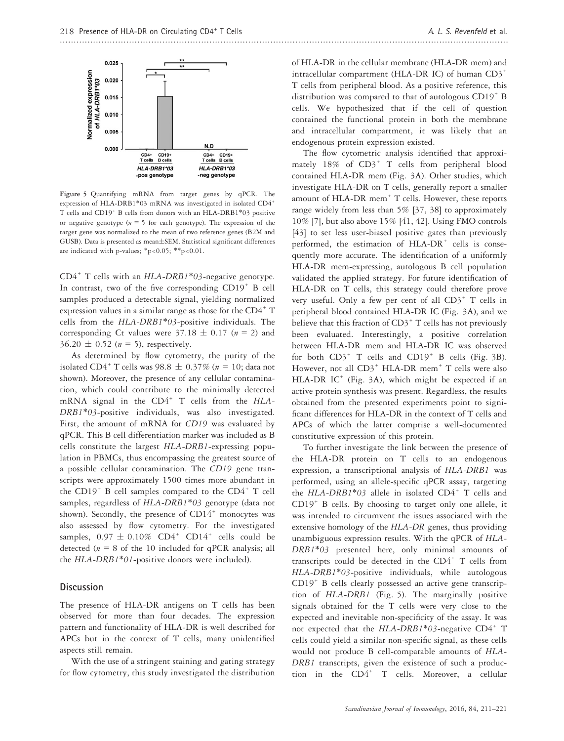

Figure 5 Quantifying mRNA from target genes by qPCR. The expression of HLA-DRB1\*03 mRNA was investigated in isolated CD4+ T cells and CD19<sup>+</sup> B cells from donors with an HLA-DRB1\*03 positive or negative genotype ( $n = 5$  for each genotype). The expression of the target gene was normalized to the mean of two reference genes (B2M and GUSB). Data is presented as mean±SEM. Statistical significant differences are indicated with p-values;  $*p<0.05$ ;  $**p<0.01$ .

 $CD4^+$  T cells with an  $HLA-DRB1*03$ -negative genotype. In contrast, two of the five corresponding CD19<sup>+</sup> B cell samples produced a detectable signal, yielding normalized expression values in a similar range as those for the CD4<sup>+</sup> T cells from the HLA-DRB1\*03-positive individuals. The corresponding Ct values were  $37.18 \pm 0.17$  ( $n = 2$ ) and  $36.20 \pm 0.52$  (n = 5), respectively.

As determined by flow cytometry, the purity of the isolated CD4<sup>+</sup> T cells was 98.8  $\pm$  0.37% (n = 10; data not shown). Moreover, the presence of any cellular contamination, which could contribute to the minimally detected mRNA signal in the  $CD4^+$  T cells from the  $HLA$ -DRB1\*03-positive individuals, was also investigated. First, the amount of mRNA for CD19 was evaluated by qPCR. This B cell differentiation marker was included as B cells constitute the largest HLA-DRB1-expressing population in PBMCs, thus encompassing the greatest source of a possible cellular contamination. The CD19 gene transcripts were approximately 1500 times more abundant in the  $CD19<sup>+</sup>$  B cell samples compared to the  $CD4<sup>+</sup>$  T cell samples, regardless of HLA-DRB1\*03 genotype (data not shown). Secondly, the presence of  $CD14^+$  monocytes was also assessed by flow cytometry. For the investigated samples,  $0.97 \pm 0.10\%$  CD4<sup>+</sup> CD14<sup>+</sup> cells could be detected ( $n = 8$  of the 10 included for qPCR analysis; all the HLA-DRB1\*01-positive donors were included).

#### **Discussion**

The presence of HLA-DR antigens on T cells has been observed for more than four decades. The expression pattern and functionality of HLA-DR is well described for APCs but in the context of T cells, many unidentified aspects still remain.

With the use of a stringent staining and gating strategy for flow cytometry, this study investigated the distribution of HLA-DR in the cellular membrane (HLA-DR mem) and intracellular compartment (HLA-DR IC) of human  $CD3^+$ T cells from peripheral blood. As a positive reference, this distribution was compared to that of autologous  $CD19<sup>+</sup>$  B cells. We hypothesized that if the cell of question contained the functional protein in both the membrane and intracellular compartment, it was likely that an endogenous protein expression existed.

The flow cytometric analysis identified that approximately  $18\%$  of  $CD3^+$  T cells from peripheral blood contained HLA-DR mem (Fig. 3A). Other studies, which investigate HLA-DR on T cells, generally report a smaller amount of HLA-DR mem<sup>+</sup> T cells. However, these reports range widely from less than 5% [37, 38] to approximately 10% [7], but also above 15% [41, 42]. Using FMO controls [43] to set less user-biased positive gates than previously performed, the estimation of  $HLA-DR<sup>+</sup>$  cells is consequently more accurate. The identification of a uniformly HLA-DR mem-expressing, autologous B cell population validated the applied strategy. For future identification of HLA-DR on T cells, this strategy could therefore prove very useful. Only a few per cent of all CD3<sup>+</sup> T cells in peripheral blood contained HLA-DR IC (Fig. 3A), and we believe that this fraction of  $CD3^+$  T cells has not previously been evaluated. Interestingly, a positive correlation between HLA-DR mem and HLA-DR IC was observed for both  $CD3^+$  T cells and  $CD19^+$  B cells (Fig. 3B). However, not all CD3<sup>+</sup> HLA-DR mem<sup>+</sup> T cells were also HLA-DR IC $^+$  (Fig. 3A), which might be expected if an active protein synthesis was present. Regardless, the results obtained from the presented experiments point to significant differences for HLA-DR in the context of T cells and APCs of which the latter comprise a well-documented constitutive expression of this protein.

To further investigate the link between the presence of the HLA-DR protein on T cells to an endogenous expression, a transcriptional analysis of HLA-DRB1 was performed, using an allele-specific qPCR assay, targeting the  $HLA-DRB1*03$  allele in isolated CD4<sup>+</sup> T cells and  $CD19<sup>+</sup>$  B cells. By choosing to target only one allele, it was intended to circumvent the issues associated with the extensive homology of the HLA-DR genes, thus providing unambiguous expression results. With the qPCR of HLA-DRB1\*03 presented here, only minimal amounts of transcripts could be detected in the  $CD4^+$  T cells from HLA-DRB1\*03-positive individuals, while autologous CD19<sup>+</sup> B cells clearly possessed an active gene transcription of HLA-DRB1 (Fig. 5). The marginally positive signals obtained for the T cells were very close to the expected and inevitable non-specificity of the assay. It was not expected that the HLA-DRB1\*03-negative CD4<sup>+</sup> T cells could yield a similar non-specific signal, as these cells would not produce B cell-comparable amounts of HLA-DRB1 transcripts, given the existence of such a production in the  $CD4^+$  T cells. Moreover, a cellular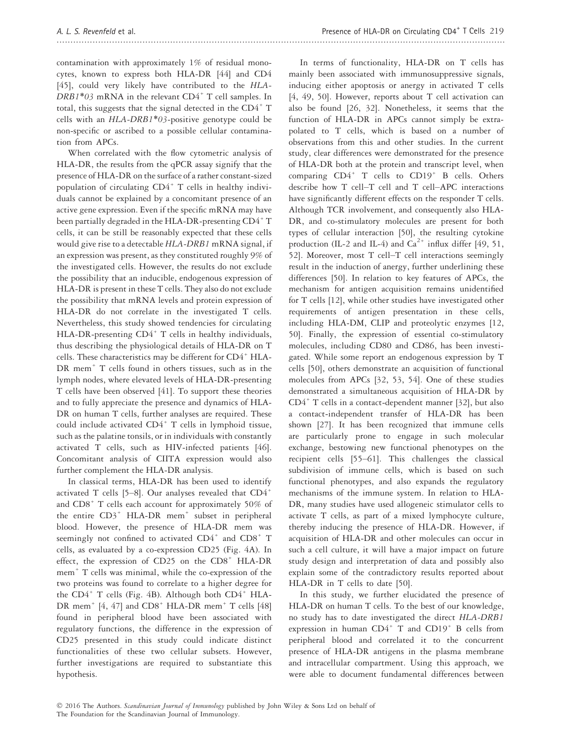contamination with approximately 1% of residual monocytes, known to express both HLA-DR [44] and CD4 [45], could very likely have contributed to the HLA- $DRB1*03$  mRNA in the relevant  $CD4+T$  cell samples. In total, this suggests that the signal detected in the  $CD4^+$  T cells with an HLA-DRB1\*03-positive genotype could be non-specific or ascribed to a possible cellular contamination from APCs.

When correlated with the flow cytometric analysis of HLA-DR, the results from the qPCR assay signify that the presence of HLA-DR on the surface of a rather constant-sized population of circulating  $CD4^+$  T cells in healthy individuals cannot be explained by a concomitant presence of an active gene expression. Even if the specific mRNA may have been partially degraded in the HLA-DR-presenting CD4<sup>+</sup> T cells, it can be still be reasonably expected that these cells would give rise to a detectable HLA-DRB1 mRNA signal, if an expression was present, as they constituted roughly 9% of the investigated cells. However, the results do not exclude the possibility that an inducible, endogenous expression of HLA-DR is present in these T cells. They also do not exclude the possibility that mRNA levels and protein expression of HLA-DR do not correlate in the investigated T cells. Nevertheless, this study showed tendencies for circulating HLA-DR-presenting  $CD4^+$  T cells in healthy individuals, thus describing the physiological details of HLA-DR on T cells. These characteristics may be different for CD4<sup>+</sup> HLA-DR mem<sup>+</sup> T cells found in others tissues, such as in the lymph nodes, where elevated levels of HLA-DR-presenting T cells have been observed [41]. To support these theories and to fully appreciate the presence and dynamics of HLA-DR on human T cells, further analyses are required. These could include activated  $CD4^+$  T cells in lymphoid tissue, such as the palatine tonsils, or in individuals with constantly activated T cells, such as HIV-infected patients [46]. Concomitant analysis of CIITA expression would also further complement the HLA-DR analysis.

In classical terms, HLA-DR has been used to identify activated T cells [5–8]. Our analyses revealed that CD4<sup>+</sup> and CD8<sup>+</sup> T cells each account for approximately 50% of the entire  $CD3^+$  HLA-DR mem<sup>+</sup> subset in peripheral blood. However, the presence of HLA-DR mem was seemingly not confined to activated  $CD4^+$  and  $CD8^+$  T cells, as evaluated by a co-expression CD25 (Fig. 4A). In effect, the expression of CD25 on the  $CDS^+$  HLA-DR mem<sup>+</sup> T cells was minimal, while the co-expression of the two proteins was found to correlate to a higher degree for the  $CD4^+$  T cells (Fig. 4B). Although both  $CD4^+$  HLA-DR mem<sup>+</sup>  $[4, 47]$  and  $CDS$ <sup>+</sup> HLA-DR mem<sup>+</sup> T cells  $[48]$ found in peripheral blood have been associated with regulatory functions, the difference in the expression of CD25 presented in this study could indicate distinct functionalities of these two cellular subsets. However, further investigations are required to substantiate this hypothesis.

In terms of functionality, HLA-DR on T cells has mainly been associated with immunosuppressive signals, inducing either apoptosis or anergy in activated T cells [4, 49, 50]. However, reports about T cell activation can also be found [26, 32]. Nonetheless, it seems that the function of HLA-DR in APCs cannot simply be extrapolated to T cells, which is based on a number of observations from this and other studies. In the current study, clear differences were demonstrated for the presence of HLA-DR both at the protein and transcript level, when comparing CD4<sup>+</sup> T cells to CD19<sup>+</sup> B cells. Others describe how T cell–T cell and T cell–APC interactions have significantly different effects on the responder T cells. Although TCR involvement, and consequently also HLA-DR, and co-stimulatory molecules are present for both types of cellular interaction [50], the resulting cytokine production (IL-2 and IL-4) and  $Ca^{2+}$  influx differ [49, 51, 52]. Moreover, most T cell–T cell interactions seemingly result in the induction of anergy, further underlining these differences [50]. In relation to key features of APCs, the mechanism for antigen acquisition remains unidentified for T cells [12], while other studies have investigated other requirements of antigen presentation in these cells, including HLA-DM, CLIP and proteolytic enzymes [12, 50]. Finally, the expression of essential co-stimulatory molecules, including CD80 and CD86, has been investigated. While some report an endogenous expression by T cells [50], others demonstrate an acquisition of functional molecules from APCs [32, 53, 54]. One of these studies demonstrated a simultaneous acquisition of HLA-DR by  $CD4^+$  T cells in a contact-dependent manner [32], but also a contact-independent transfer of HLA-DR has been shown [27]. It has been recognized that immune cells are particularly prone to engage in such molecular exchange, bestowing new functional phenotypes on the recipient cells [55–61]. This challenges the classical subdivision of immune cells, which is based on such functional phenotypes, and also expands the regulatory mechanisms of the immune system. In relation to HLA-DR, many studies have used allogeneic stimulator cells to activate T cells, as part of a mixed lymphocyte culture, thereby inducing the presence of HLA-DR. However, if acquisition of HLA-DR and other molecules can occur in such a cell culture, it will have a major impact on future study design and interpretation of data and possibly also explain some of the contradictory results reported about HLA-DR in T cells to date [50].

In this study, we further elucidated the presence of HLA-DR on human T cells. To the best of our knowledge, no study has to date investigated the direct HLA-DRB1 expression in human  $CD4^+$  T and  $CD19^+$  B cells from peripheral blood and correlated it to the concurrent presence of HLA-DR antigens in the plasma membrane and intracellular compartment. Using this approach, we were able to document fundamental differences between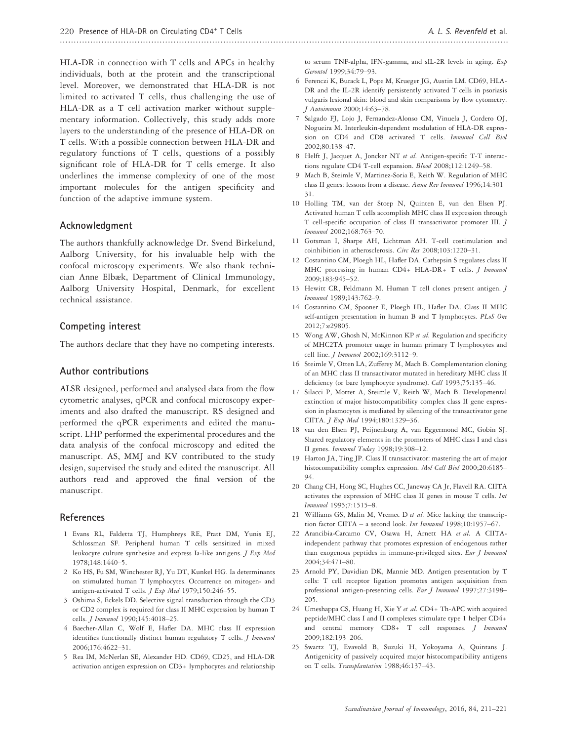HLA-DR in connection with T cells and APCs in healthy individuals, both at the protein and the transcriptional level. Moreover, we demonstrated that HLA-DR is not limited to activated T cells, thus challenging the use of HLA-DR as a T cell activation marker without supplementary information. Collectively, this study adds more layers to the understanding of the presence of HLA-DR on T cells. With a possible connection between HLA-DR and regulatory functions of T cells, questions of a possibly significant role of HLA-DR for T cells emerge. It also underlines the immense complexity of one of the most important molecules for the antigen specificity and function of the adaptive immune system.

#### Acknowledgment

The authors thankfully acknowledge Dr. Svend Birkelund, Aalborg University, for his invaluable help with the confocal microscopy experiments. We also thank technician Anne Elbæk, Department of Clinical Immunology, Aalborg University Hospital, Denmark, for excellent technical assistance.

#### Competing interest

The authors declare that they have no competing interests.

#### Author contributions

ALSR designed, performed and analysed data from the flow cytometric analyses, qPCR and confocal microscopy experiments and also drafted the manuscript. RS designed and performed the qPCR experiments and edited the manuscript. LHP performed the experimental procedures and the data analysis of the confocal microscopy and edited the manuscript. AS, MMJ and KV contributed to the study design, supervised the study and edited the manuscript. All authors read and approved the final version of the manuscript.

#### References

- 1 Evans RL, Faldetta TJ, Humphreys RE, Pratt DM, Yunis EJ, Schlossman SF. Peripheral human T cells sensitized in mixed leukocyte culture synthesize and express Ia-like antigens. J Exp Med 1978;148:1440–5.
- 2 Ko HS, Fu SM, Winchester RJ, Yu DT, Kunkel HG. Ia determinants on stimulated human T lymphocytes. Occurrence on mitogen- and antigen-activated T cells. J Exp Med 1979;150:246–55.
- 3 Oshima S, Eckels DD. Selective signal transduction through the CD3 or CD2 complex is required for class II MHC expression by human T cells. J Immunol 1990;145:4018–25.
- 4 Baecher-Allan C, Wolf E, Hafler DA. MHC class II expression identifies functionally distinct human regulatory T cells. *J Immunol* 2006;176:4622–31.
- 5 Rea IM, McNerlan SE, Alexander HD. CD69, CD25, and HLA-DR activation antigen expression on CD3+ lymphocytes and relationship

to serum TNF-alpha, IFN-gamma, and sIL-2R levels in aging. Exp Gerontol 1999;34:79–93.

- 6 Ferenczi K, Burack L, Pope M, Krueger JG, Austin LM. CD69, HLA-DR and the IL-2R identify persistently activated T cells in psoriasis vulgaris lesional skin: blood and skin comparisons by flow cytometry. J Autoimmun 2000;14:63–78.
- 7 Salgado FJ, Lojo J, Fernandez-Alonso CM, Vinuela J, Cordero OJ, Nogueira M. Interleukin-dependent modulation of HLA-DR expression on CD4 and CD8 activated T cells. Immunol Cell Biol 2002;80:138–47.
- 8 Helft J, Jacquet A, Joncker NT et al. Antigen-specific T-T interactions regulate CD4 T-cell expansion. Blood 2008;112:1249–58.
- 9 Mach B, Steimle V, Martinez-Soria E, Reith W. Regulation of MHC class II genes: lessons from a disease. Annu Rev Immunol 1996;14:301– 31.
- 10 Holling TM, van der Stoep N, Quinten E, van den Elsen PJ. Activated human T cells accomplish MHC class II expression through T cell-specific occupation of class II transactivator promoter III. J Immunol 2002;168:763–70.
- 11 Gotsman I, Sharpe AH, Lichtman AH. T-cell costimulation and coinhibition in atherosclerosis. Circ Res 2008;103:1220–31.
- 12 Costantino CM, Ploegh HL, Hafler DA. Cathepsin S regulates class II MHC processing in human CD4+ HLA-DR+ T cells. J Immunol 2009;183:945–52.
- 13 Hewitt CR, Feldmann M. Human T cell clones present antigen. J Immunol 1989;143:762–9.
- 14 Costantino CM, Spooner E, Ploegh HL, Hafler DA. Class II MHC self-antigen presentation in human B and T lymphocytes. PLoS One 2012;7:e29805.
- 15 Wong AW, Ghosh N, McKinnon KP et al. Regulation and specificity of MHC2TA promoter usage in human primary T lymphocytes and cell line. *J Immunol* 2002;169:3112-9.
- 16 Steimle V, Otten LA, Zufferey M, Mach B. Complementation cloning of an MHC class II transactivator mutated in hereditary MHC class II deficiency (or bare lymphocyte syndrome). Cell 1993;75:135–46.
- 17 Silacci P, Mottet A, Steimle V, Reith W, Mach B. Developmental extinction of major histocompatibility complex class II gene expression in plasmocytes is mediated by silencing of the transactivator gene CIITA. J Exp Med 1994;180:1329–36.
- 18 van den Elsen PJ, Peijnenburg A, van Eggermond MC, Gobin SJ. Shared regulatory elements in the promoters of MHC class I and class II genes. Immunol Today 1998;19:308–12.
- 19 Harton JA, Ting JP. Class II transactivator: mastering the art of major histocompatibility complex expression. Mol Cell Biol 2000;20:6185– 94.
- 20 Chang CH, Hong SC, Hughes CC, Janeway CA Jr, Flavell RA. CIITA activates the expression of MHC class II genes in mouse T cells. Int Immunol 1995;7:1515–8.
- 21 Williams GS, Malin M, Vremec D et al. Mice lacking the transcription factor CIITA – a second look. Int Immunol 1998;10:1957–67.
- 22 Arancibia-Carcamo CV, Osawa H, Arnett HA et al. A CIITAindependent pathway that promotes expression of endogenous rather than exogenous peptides in immune-privileged sites. Eur J Immunol 2004;34:471–80.
- 23 Arnold PY, Davidian DK, Mannie MD. Antigen presentation by T cells: T cell receptor ligation promotes antigen acquisition from professional antigen-presenting cells. Eur J Immunol 1997;27:3198– 205.
- 24 Umeshappa CS, Huang H, Xie Y et al. CD4+ Th-APC with acquired peptide/MHC class I and II complexes stimulate type 1 helper CD4+ and central memory CD8+ T cell responses. *J Immunol* 2009;182:193–206.
- 25 Swartz TJ, Evavold B, Suzuki H, Yokoyama A, Quintans J. Antigenicity of passively acquired major histocompatibility antigens on T cells. Transplantation 1988;46:137–43.